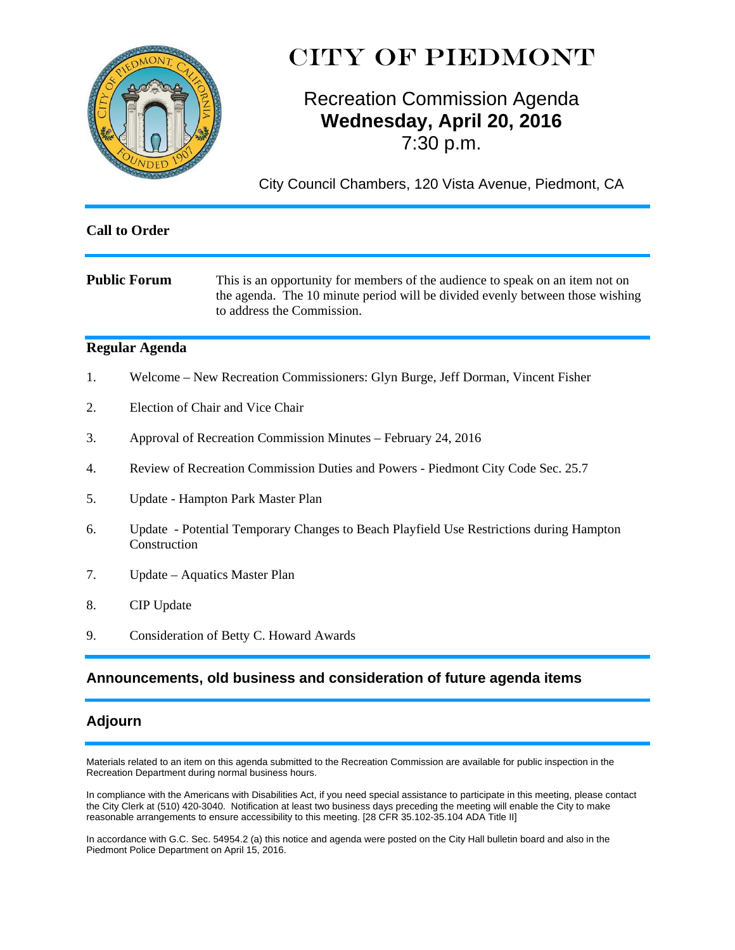

# CITY OF PIEDMONT

# Recreation Commission Agenda **Wednesday, April 20, 2016**  7:30 p.m.

City Council Chambers, 120 Vista Avenue, Piedmont, CA

| <b>Call to Order</b> |                                                                                                         |                                                                                                                                                                                              |  |
|----------------------|---------------------------------------------------------------------------------------------------------|----------------------------------------------------------------------------------------------------------------------------------------------------------------------------------------------|--|
|                      | <b>Public Forum</b>                                                                                     | This is an opportunity for members of the audience to speak on an item not on<br>the agenda. The 10 minute period will be divided evenly between those wishing<br>to address the Commission. |  |
|                      | <b>Regular Agenda</b>                                                                                   |                                                                                                                                                                                              |  |
| 1.                   |                                                                                                         | Welcome – New Recreation Commissioners: Glyn Burge, Jeff Dorman, Vincent Fisher                                                                                                              |  |
| 2.                   | Election of Chair and Vice Chair                                                                        |                                                                                                                                                                                              |  |
| 3.                   | Approval of Recreation Commission Minutes – February 24, 2016                                           |                                                                                                                                                                                              |  |
| 4.                   |                                                                                                         | Review of Recreation Commission Duties and Powers - Piedmont City Code Sec. 25.7                                                                                                             |  |
| 5.                   | Update - Hampton Park Master Plan                                                                       |                                                                                                                                                                                              |  |
| 6.                   | Update - Potential Temporary Changes to Beach Playfield Use Restrictions during Hampton<br>Construction |                                                                                                                                                                                              |  |
| 7.                   | Update – Aquatics Master Plan                                                                           |                                                                                                                                                                                              |  |
| 8.                   | CIP Update                                                                                              |                                                                                                                                                                                              |  |
| 9.                   |                                                                                                         | Consideration of Betty C. Howard Awards                                                                                                                                                      |  |

# **Announcements, old business and consideration of future agenda items**

# **Adjourn**

Materials related to an item on this agenda submitted to the Recreation Commission are available for public inspection in the Recreation Department during normal business hours.

In compliance with the Americans with Disabilities Act, if you need special assistance to participate in this meeting, please contact the City Clerk at (510) 420-3040. Notification at least two business days preceding the meeting will enable the City to make reasonable arrangements to ensure accessibility to this meeting. [28 CFR 35.102-35.104 ADA Title II]

In accordance with G.C. Sec. 54954.2 (a) this notice and agenda were posted on the City Hall bulletin board and also in the Piedmont Police Department on April 15, 2016.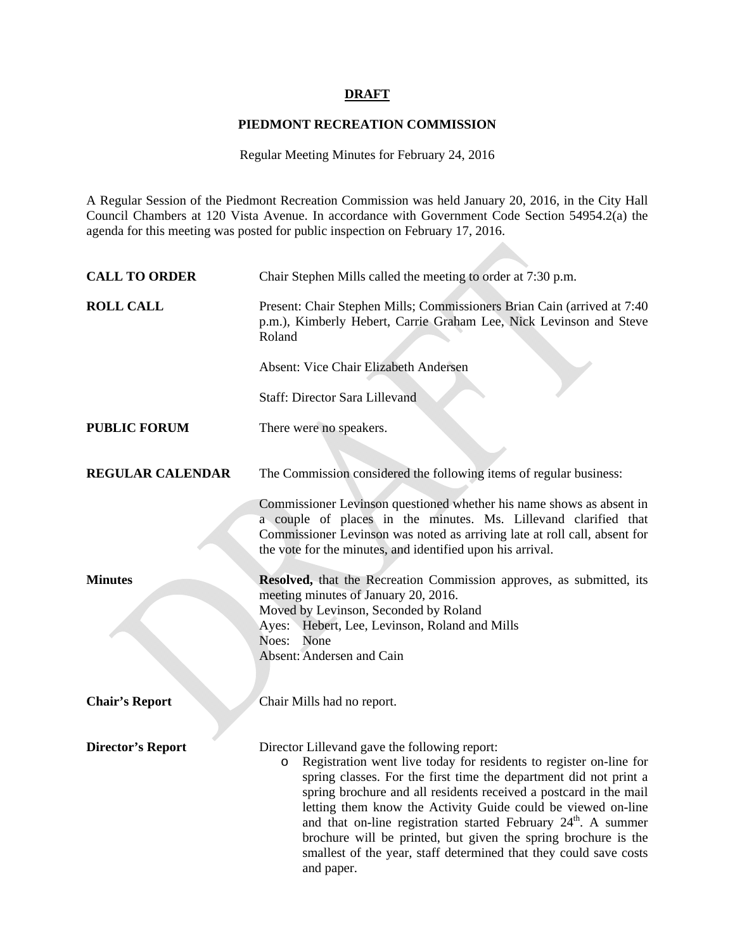### **DRAFT**

### **PIEDMONT RECREATION COMMISSION**

Regular Meeting Minutes for February 24, 2016

A Regular Session of the Piedmont Recreation Commission was held January 20, 2016, in the City Hall Council Chambers at 120 Vista Avenue. In accordance with Government Code Section 54954.2(a) the agenda for this meeting was posted for public inspection on February 17, 2016.

| <b>CALL TO ORDER</b>     | Chair Stephen Mills called the meeting to order at 7:30 p.m.                                                                                                                                                                                                                                                                                                                                                                                                                                                                                                                |
|--------------------------|-----------------------------------------------------------------------------------------------------------------------------------------------------------------------------------------------------------------------------------------------------------------------------------------------------------------------------------------------------------------------------------------------------------------------------------------------------------------------------------------------------------------------------------------------------------------------------|
| <b>ROLL CALL</b>         | Present: Chair Stephen Mills; Commissioners Brian Cain (arrived at 7:40)<br>p.m.), Kimberly Hebert, Carrie Graham Lee, Nick Levinson and Steve<br>Roland                                                                                                                                                                                                                                                                                                                                                                                                                    |
|                          | <b>Absent: Vice Chair Elizabeth Andersen</b>                                                                                                                                                                                                                                                                                                                                                                                                                                                                                                                                |
|                          | <b>Staff: Director Sara Lillevand</b>                                                                                                                                                                                                                                                                                                                                                                                                                                                                                                                                       |
| <b>PUBLIC FORUM</b>      | There were no speakers.                                                                                                                                                                                                                                                                                                                                                                                                                                                                                                                                                     |
| <b>REGULAR CALENDAR</b>  | The Commission considered the following items of regular business:                                                                                                                                                                                                                                                                                                                                                                                                                                                                                                          |
|                          | Commissioner Levinson questioned whether his name shows as absent in<br>a couple of places in the minutes. Ms. Lillevand clarified that<br>Commissioner Levinson was noted as arriving late at roll call, absent for<br>the vote for the minutes, and identified upon his arrival.                                                                                                                                                                                                                                                                                          |
| <b>Minutes</b>           | Resolved, that the Recreation Commission approves, as submitted, its<br>meeting minutes of January 20, 2016.<br>Moved by Levinson, Seconded by Roland<br>Ayes: Hebert, Lee, Levinson, Roland and Mills<br>Noes: None<br>Absent: Andersen and Cain                                                                                                                                                                                                                                                                                                                           |
| <b>Chair's Report</b>    | Chair Mills had no report.                                                                                                                                                                                                                                                                                                                                                                                                                                                                                                                                                  |
| <b>Director's Report</b> | Director Lillevand gave the following report:<br>Registration went live today for residents to register on-line for<br>$\circ$<br>spring classes. For the first time the department did not print a<br>spring brochure and all residents received a postcard in the mail<br>letting them know the Activity Guide could be viewed on-line<br>and that on-line registration started February 24 <sup>th</sup> . A summer<br>brochure will be printed, but given the spring brochure is the<br>smallest of the year, staff determined that they could save costs<br>and paper. |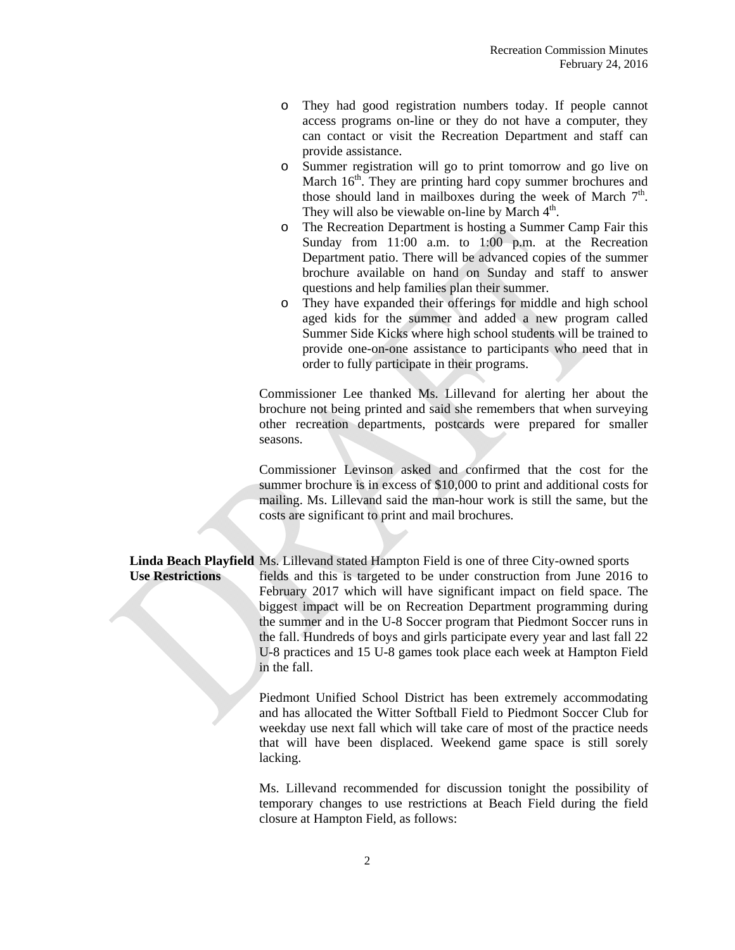- o They had good registration numbers today. If people cannot access programs on-line or they do not have a computer, they can contact or visit the Recreation Department and staff can provide assistance.
- o Summer registration will go to print tomorrow and go live on March  $16<sup>th</sup>$ . They are printing hard copy summer brochures and those should land in mailboxes during the week of March  $7<sup>th</sup>$ . They will also be viewable on-line by March  $4<sup>th</sup>$ .
- o The Recreation Department is hosting a Summer Camp Fair this Sunday from 11:00 a.m. to 1:00 p.m. at the Recreation Department patio. There will be advanced copies of the summer brochure available on hand on Sunday and staff to answer questions and help families plan their summer.
- o They have expanded their offerings for middle and high school aged kids for the summer and added a new program called Summer Side Kicks where high school students will be trained to provide one-on-one assistance to participants who need that in order to fully participate in their programs.

 Commissioner Lee thanked Ms. Lillevand for alerting her about the brochure not being printed and said she remembers that when surveying other recreation departments, postcards were prepared for smaller seasons.

 Commissioner Levinson asked and confirmed that the cost for the summer brochure is in excess of \$10,000 to print and additional costs for mailing. Ms. Lillevand said the man-hour work is still the same, but the costs are significant to print and mail brochures.

 **Linda Beach Playfield** Ms. Lillevand stated Hampton Field is one of three City-owned sports  **Use Restrictions** fields and this is targeted to be under construction from June 2016 to February 2017 which will have significant impact on field space. The biggest impact will be on Recreation Department programming during the summer and in the U-8 Soccer program that Piedmont Soccer runs in the fall. Hundreds of boys and girls participate every year and last fall 22 U-8 practices and 15 U-8 games took place each week at Hampton Field in the fall.

> Piedmont Unified School District has been extremely accommodating and has allocated the Witter Softball Field to Piedmont Soccer Club for weekday use next fall which will take care of most of the practice needs that will have been displaced. Weekend game space is still sorely lacking.

> Ms. Lillevand recommended for discussion tonight the possibility of temporary changes to use restrictions at Beach Field during the field closure at Hampton Field, as follows: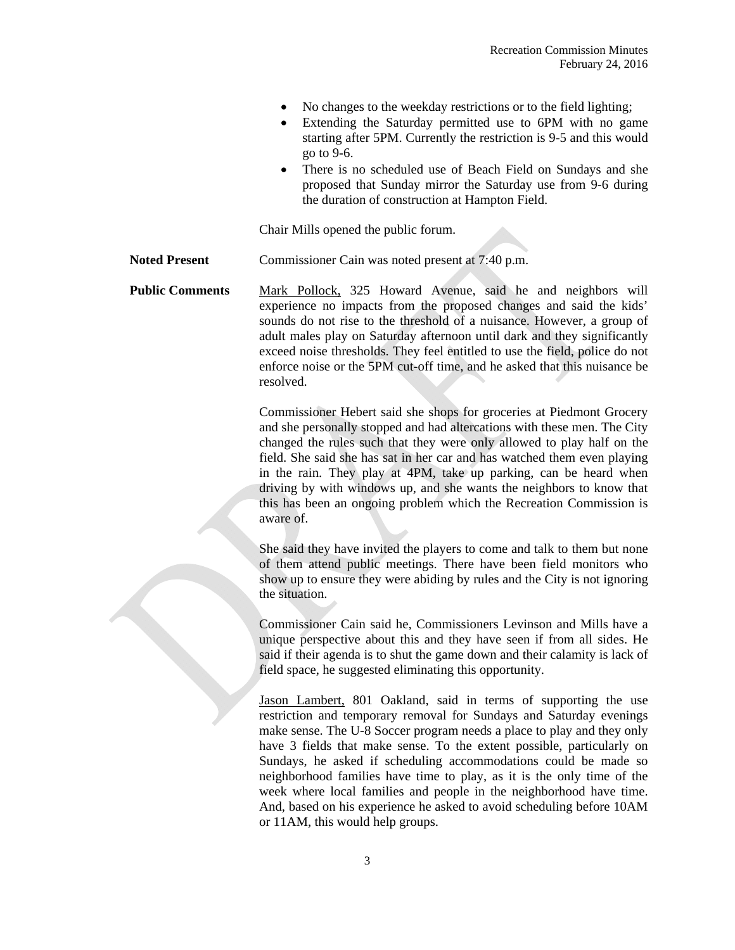- No changes to the weekday restrictions or to the field lighting;
- Extending the Saturday permitted use to 6PM with no game starting after 5PM. Currently the restriction is 9-5 and this would go to 9-6.
- There is no scheduled use of Beach Field on Sundays and she proposed that Sunday mirror the Saturday use from 9-6 during the duration of construction at Hampton Field.

Chair Mills opened the public forum.

- **Noted Present** Commissioner Cain was noted present at 7:40 p.m.
- Public Comments Mark Pollock, 325 Howard Avenue, said he and neighbors will experience no impacts from the proposed changes and said the kids' sounds do not rise to the threshold of a nuisance. However, a group of adult males play on Saturday afternoon until dark and they significantly exceed noise thresholds. They feel entitled to use the field, police do not enforce noise or the 5PM cut-off time, and he asked that this nuisance be resolved.

 Commissioner Hebert said she shops for groceries at Piedmont Grocery and she personally stopped and had altercations with these men. The City changed the rules such that they were only allowed to play half on the field. She said she has sat in her car and has watched them even playing in the rain. They play at 4PM, take up parking, can be heard when driving by with windows up, and she wants the neighbors to know that this has been an ongoing problem which the Recreation Commission is aware of.

She said they have invited the players to come and talk to them but none of them attend public meetings. There have been field monitors who show up to ensure they were abiding by rules and the City is not ignoring the situation.

 Commissioner Cain said he, Commissioners Levinson and Mills have a unique perspective about this and they have seen if from all sides. He said if their agenda is to shut the game down and their calamity is lack of field space, he suggested eliminating this opportunity.

 Jason Lambert, 801 Oakland, said in terms of supporting the use restriction and temporary removal for Sundays and Saturday evenings make sense. The U-8 Soccer program needs a place to play and they only have 3 fields that make sense. To the extent possible, particularly on Sundays, he asked if scheduling accommodations could be made so neighborhood families have time to play, as it is the only time of the week where local families and people in the neighborhood have time. And, based on his experience he asked to avoid scheduling before 10AM or 11AM, this would help groups.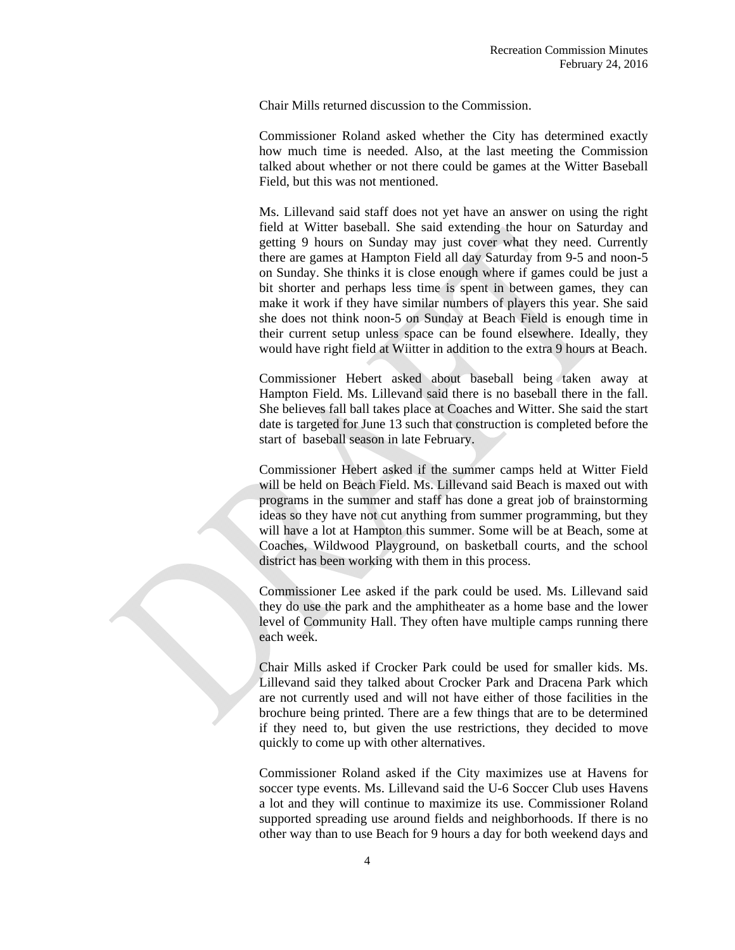Chair Mills returned discussion to the Commission.

 Commissioner Roland asked whether the City has determined exactly how much time is needed. Also, at the last meeting the Commission talked about whether or not there could be games at the Witter Baseball Field, but this was not mentioned.

Ms. Lillevand said staff does not yet have an answer on using the right field at Witter baseball. She said extending the hour on Saturday and getting 9 hours on Sunday may just cover what they need. Currently there are games at Hampton Field all day Saturday from 9-5 and noon-5 on Sunday. She thinks it is close enough where if games could be just a bit shorter and perhaps less time is spent in between games, they can make it work if they have similar numbers of players this year. She said she does not think noon-5 on Sunday at Beach Field is enough time in their current setup unless space can be found elsewhere. Ideally, they would have right field at Wiitter in addition to the extra 9 hours at Beach.

Commissioner Hebert asked about baseball being taken away at Hampton Field. Ms. Lillevand said there is no baseball there in the fall. She believes fall ball takes place at Coaches and Witter. She said the start date is targeted for June 13 such that construction is completed before the start of baseball season in late February.

Commissioner Hebert asked if the summer camps held at Witter Field will be held on Beach Field. Ms. Lillevand said Beach is maxed out with programs in the summer and staff has done a great job of brainstorming ideas so they have not cut anything from summer programming, but they will have a lot at Hampton this summer. Some will be at Beach, some at Coaches, Wildwood Playground, on basketball courts, and the school district has been working with them in this process.

Commissioner Lee asked if the park could be used. Ms. Lillevand said they do use the park and the amphitheater as a home base and the lower level of Community Hall. They often have multiple camps running there each week.

Chair Mills asked if Crocker Park could be used for smaller kids. Ms. Lillevand said they talked about Crocker Park and Dracena Park which are not currently used and will not have either of those facilities in the brochure being printed. There are a few things that are to be determined if they need to, but given the use restrictions, they decided to move quickly to come up with other alternatives.

Commissioner Roland asked if the City maximizes use at Havens for soccer type events. Ms. Lillevand said the U-6 Soccer Club uses Havens a lot and they will continue to maximize its use. Commissioner Roland supported spreading use around fields and neighborhoods. If there is no other way than to use Beach for 9 hours a day for both weekend days and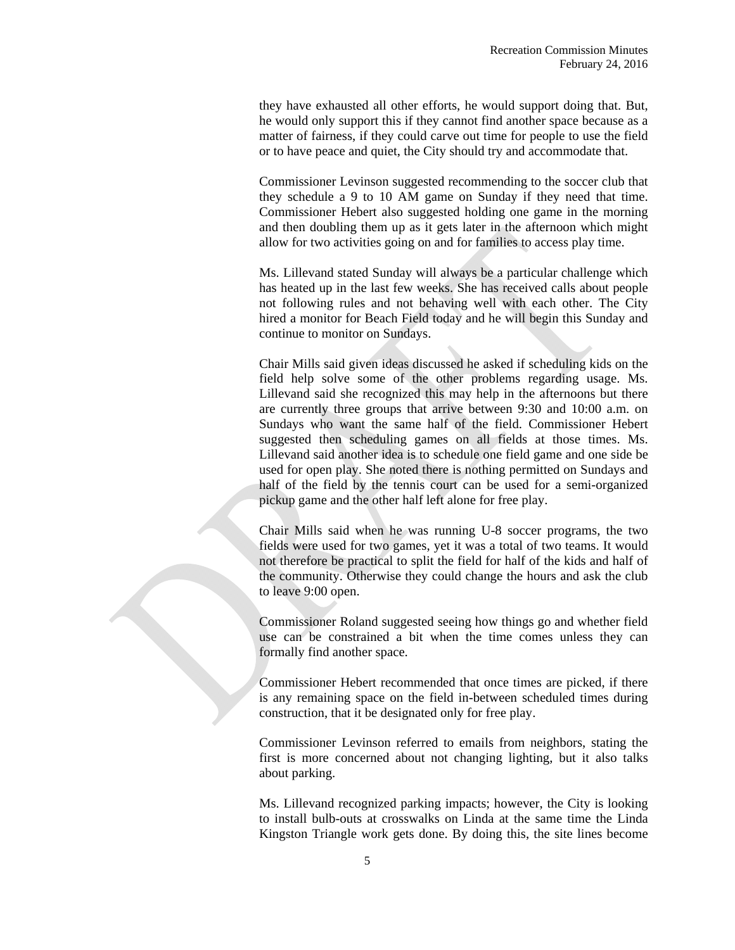they have exhausted all other efforts, he would support doing that. But, he would only support this if they cannot find another space because as a matter of fairness, if they could carve out time for people to use the field or to have peace and quiet, the City should try and accommodate that.

Commissioner Levinson suggested recommending to the soccer club that they schedule a 9 to 10 AM game on Sunday if they need that time. Commissioner Hebert also suggested holding one game in the morning and then doubling them up as it gets later in the afternoon which might allow for two activities going on and for families to access play time.

Ms. Lillevand stated Sunday will always be a particular challenge which has heated up in the last few weeks. She has received calls about people not following rules and not behaving well with each other. The City hired a monitor for Beach Field today and he will begin this Sunday and continue to monitor on Sundays.

Chair Mills said given ideas discussed he asked if scheduling kids on the field help solve some of the other problems regarding usage. Ms. Lillevand said she recognized this may help in the afternoons but there are currently three groups that arrive between 9:30 and 10:00 a.m. on Sundays who want the same half of the field. Commissioner Hebert suggested then scheduling games on all fields at those times. Ms. Lillevand said another idea is to schedule one field game and one side be used for open play. She noted there is nothing permitted on Sundays and half of the field by the tennis court can be used for a semi-organized pickup game and the other half left alone for free play.

Chair Mills said when he was running U-8 soccer programs, the two fields were used for two games, yet it was a total of two teams. It would not therefore be practical to split the field for half of the kids and half of the community. Otherwise they could change the hours and ask the club to leave 9:00 open.

Commissioner Roland suggested seeing how things go and whether field use can be constrained a bit when the time comes unless they can formally find another space.

Commissioner Hebert recommended that once times are picked, if there is any remaining space on the field in-between scheduled times during construction, that it be designated only for free play.

Commissioner Levinson referred to emails from neighbors, stating the first is more concerned about not changing lighting, but it also talks about parking.

Ms. Lillevand recognized parking impacts; however, the City is looking to install bulb-outs at crosswalks on Linda at the same time the Linda Kingston Triangle work gets done. By doing this, the site lines become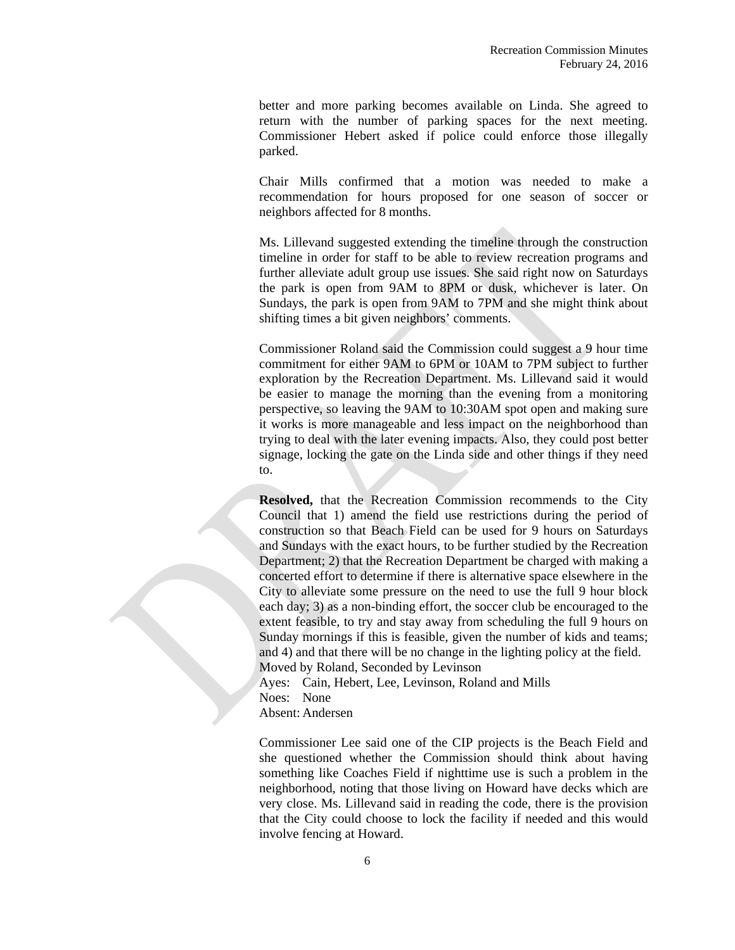better and more parking becomes available on Linda. She agreed to return with the number of parking spaces for the next meeting. Commissioner Hebert asked if police could enforce those illegally parked.

Chair Mills confirmed that a motion was needed to make a recommendation for hours proposed for one season of soccer or neighbors affected for 8 months.

Ms. Lillevand suggested extending the timeline through the construction timeline in order for staff to be able to review recreation programs and further alleviate adult group use issues. She said right now on Saturdays the park is open from 9AM to 8PM or dusk, whichever is later. On Sundays, the park is open from 9AM to 7PM and she might think about shifting times a bit given neighbors' comments.

Commissioner Roland said the Commission could suggest a 9 hour time commitment for either 9AM to 6PM or 10AM to 7PM subject to further exploration by the Recreation Department. Ms. Lillevand said it would be easier to manage the morning than the evening from a monitoring perspective, so leaving the 9AM to 10:30AM spot open and making sure it works is more manageable and less impact on the neighborhood than trying to deal with the later evening impacts. Also, they could post better signage, locking the gate on the Linda side and other things if they need to.

 **Resolved,** that the Recreation Commission recommends to the City Council that 1) amend the field use restrictions during the period of construction so that Beach Field can be used for 9 hours on Saturdays and Sundays with the exact hours, to be further studied by the Recreation Department; 2) that the Recreation Department be charged with making a concerted effort to determine if there is alternative space elsewhere in the City to alleviate some pressure on the need to use the full 9 hour block each day; 3) as a non-binding effort, the soccer club be encouraged to the extent feasible, to try and stay away from scheduling the full 9 hours on Sunday mornings if this is feasible, given the number of kids and teams; and 4) and that there will be no change in the lighting policy at the field. Moved by Roland, Seconded by Levinson

 Ayes: Cain, Hebert, Lee, Levinson, Roland and Mills Noes: None Absent: Andersen

 Commissioner Lee said one of the CIP projects is the Beach Field and she questioned whether the Commission should think about having something like Coaches Field if nighttime use is such a problem in the neighborhood, noting that those living on Howard have decks which are very close. Ms. Lillevand said in reading the code, there is the provision that the City could choose to lock the facility if needed and this would involve fencing at Howard.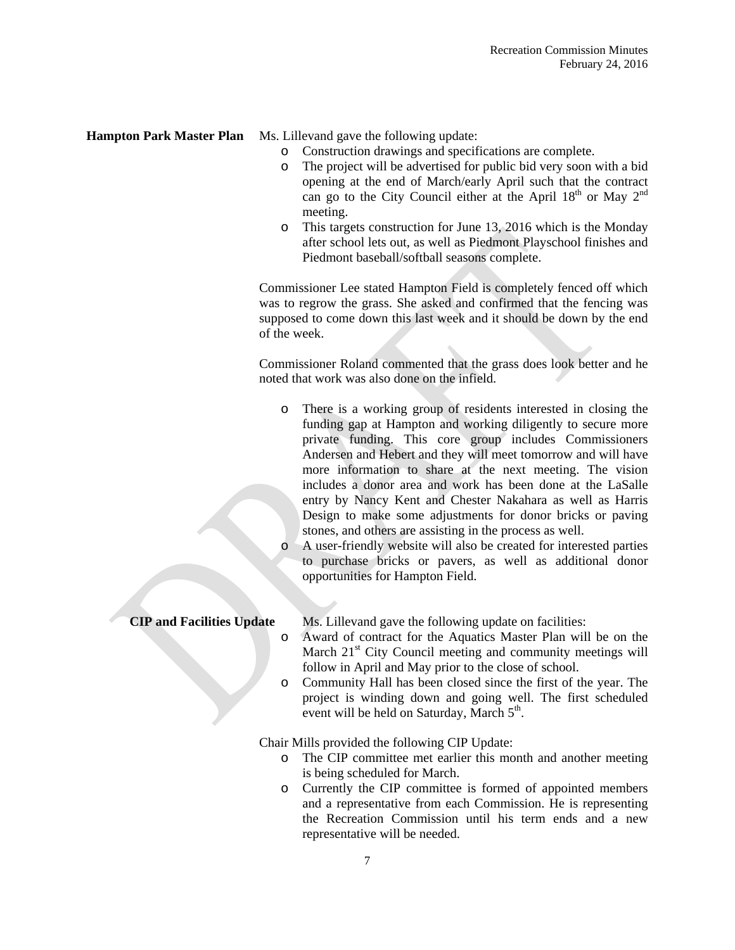- **Hampton Park Master Plan** Ms. Lillevand gave the following update:
	- o Construction drawings and specifications are complete.
	- o The project will be advertised for public bid very soon with a bid opening at the end of March/early April such that the contract can go to the City Council either at the April  $18<sup>th</sup>$  or May  $2<sup>nd</sup>$ meeting.
	- o This targets construction for June 13, 2016 which is the Monday after school lets out, as well as Piedmont Playschool finishes and Piedmont baseball/softball seasons complete.

 Commissioner Lee stated Hampton Field is completely fenced off which was to regrow the grass. She asked and confirmed that the fencing was supposed to come down this last week and it should be down by the end of the week.

 Commissioner Roland commented that the grass does look better and he noted that work was also done on the infield.

- o There is a working group of residents interested in closing the funding gap at Hampton and working diligently to secure more private funding. This core group includes Commissioners Andersen and Hebert and they will meet tomorrow and will have more information to share at the next meeting. The vision includes a donor area and work has been done at the LaSalle entry by Nancy Kent and Chester Nakahara as well as Harris Design to make some adjustments for donor bricks or paving stones, and others are assisting in the process as well.
- A user-friendly website will also be created for interested parties to purchase bricks or pavers, as well as additional donor opportunities for Hampton Field.

**CIP and Facilities Update** Ms. Lillevand gave the following update on facilities:

- o Award of contract for the Aquatics Master Plan will be on the March 21<sup>st</sup> City Council meeting and community meetings will follow in April and May prior to the close of school.
- o Community Hall has been closed since the first of the year. The project is winding down and going well. The first scheduled event will be held on Saturday, March  $5<sup>th</sup>$ .

Chair Mills provided the following CIP Update:

- o The CIP committee met earlier this month and another meeting is being scheduled for March.
- o Currently the CIP committee is formed of appointed members and a representative from each Commission. He is representing the Recreation Commission until his term ends and a new representative will be needed.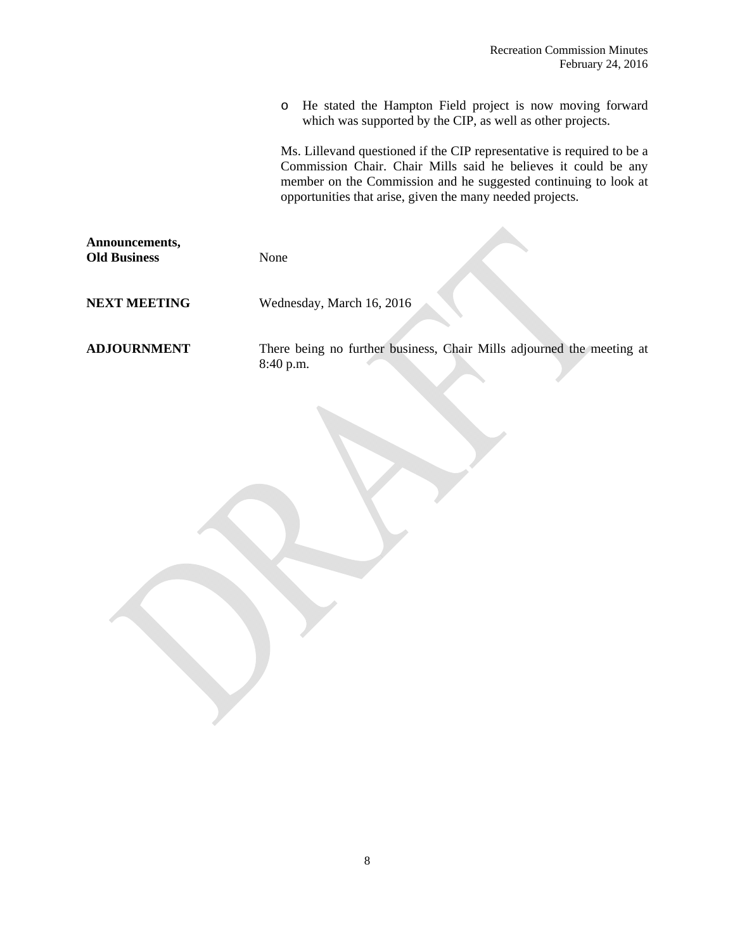o He stated the Hampton Field project is now moving forward which was supported by the CIP, as well as other projects.

Ms. Lillevand questioned if the CIP representative is required to be a Commission Chair. Chair Mills said he believes it could be any member on the Commission and he suggested continuing to look at opportunities that arise, given the many needed projects.

| Announcements,<br><b>Old Business</b> | None                                                                               |
|---------------------------------------|------------------------------------------------------------------------------------|
| <b>NEXT MEETING</b>                   | Wednesday, March 16, 2016                                                          |
| <b>ADJOURNMENT</b>                    | There being no further business, Chair Mills adjourned the meeting at<br>8:40 p.m. |